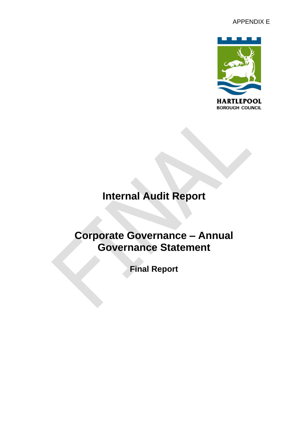

# **Internal Audit Report**

## **Corporate Governance – Annual Governance Statement**

**Final Report**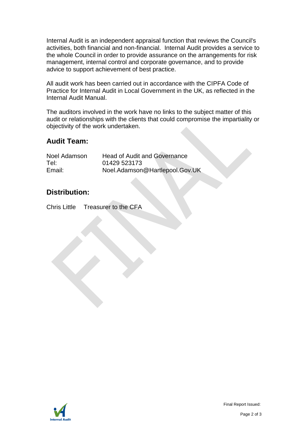Internal Audit is an independent appraisal function that reviews the Council's activities, both financial and non-financial. Internal Audit provides a service to the whole Council in order to provide assurance on the arrangements for risk management, internal control and corporate governance, and to provide advice to support achievement of best practice.

All audit work has been carried out in accordance with the CIPFA Code of Practice for Internal Audit in Local Government in the UK, as reflected in the Internal Audit Manual.

The auditors involved in the work have no links to the subject matter of this audit or relationships with the clients that could compromise the impartiality or objectivity of the work undertaken.

## **Audit Team:**

| Noel Adamson | <b>Head of Audit and Governance</b> |
|--------------|-------------------------------------|
| Tel:         | 01429 523173                        |
| Email:       | Noel.Adamson@Hartlepool.Gov.UK      |

## **Distribution:**

Chris Little Treasurer to the CFA